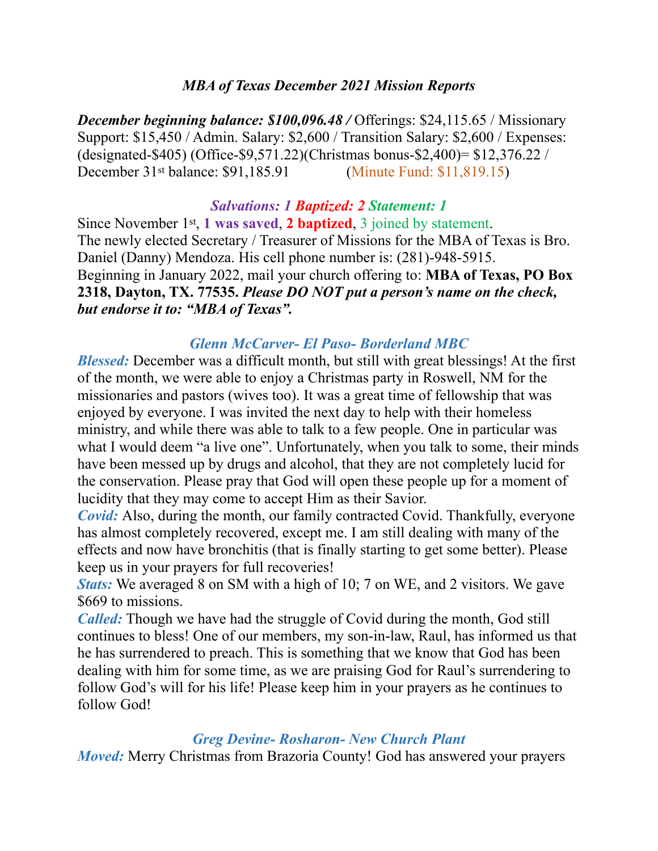## *MBA of Texas December 2021 Mission Reports*

*December beginning balance: \$100,096.48 /* Offerings: \$24,115.65 / Missionary Support: \$15,450 / Admin. Salary: \$2,600 / Transition Salary: \$2,600 / Expenses: (designated-\$405) (Office-\$9,571.22)(Christmas bonus-\$2,400)= \$12,376.22 / December 31st balance: \$91,185.91 (Minute Fund: \$11,819.15)

## *Salvations: 1 Baptized: 2 Statement: 1*

Since November 1st, **1 was saved**, **2 baptized**, 3 joined by statement. The newly elected Secretary / Treasurer of Missions for the MBA of Texas is Bro. Daniel (Danny) Mendoza. His cell phone number is: (281)-948-5915. Beginning in January 2022, mail your church offering to: **MBA of Texas, PO Box 2318, Dayton, TX. 77535.** *Please DO NOT put a person's name on the check, but endorse it to: "MBA of Texas".* 

## *Glenn McCarver- El Paso- Borderland MBC*

*Blessed:* December was a difficult month, but still with great blessings! At the first of the month, we were able to enjoy a Christmas party in Roswell, NM for the missionaries and pastors (wives too). It was a great time of fellowship that was enjoyed by everyone. I was invited the next day to help with their homeless ministry, and while there was able to talk to a few people. One in particular was what I would deem "a live one". Unfortunately, when you talk to some, their minds have been messed up by drugs and alcohol, that they are not completely lucid for the conservation. Please pray that God will open these people up for a moment of lucidity that they may come to accept Him as their Savior.

*Covid:* Also, during the month, our family contracted Covid. Thankfully, everyone has almost completely recovered, except me. I am still dealing with many of the effects and now have bronchitis (that is finally starting to get some better). Please keep us in your prayers for full recoveries!

*Stats:* We averaged 8 on SM with a high of 10; 7 on WE, and 2 visitors. We gave \$669 to missions.

*Called:* Though we have had the struggle of Covid during the month, God still continues to bless! One of our members, my son-in-law, Raul, has informed us that he has surrendered to preach. This is something that we know that God has been dealing with him for some time, as we are praising God for Raul's surrendering to follow God's will for his life! Please keep him in your prayers as he continues to follow God!

#### *Greg Devine- Rosharon- New Church Plant*

*Moved:* Merry Christmas from Brazoria County! God has answered your prayers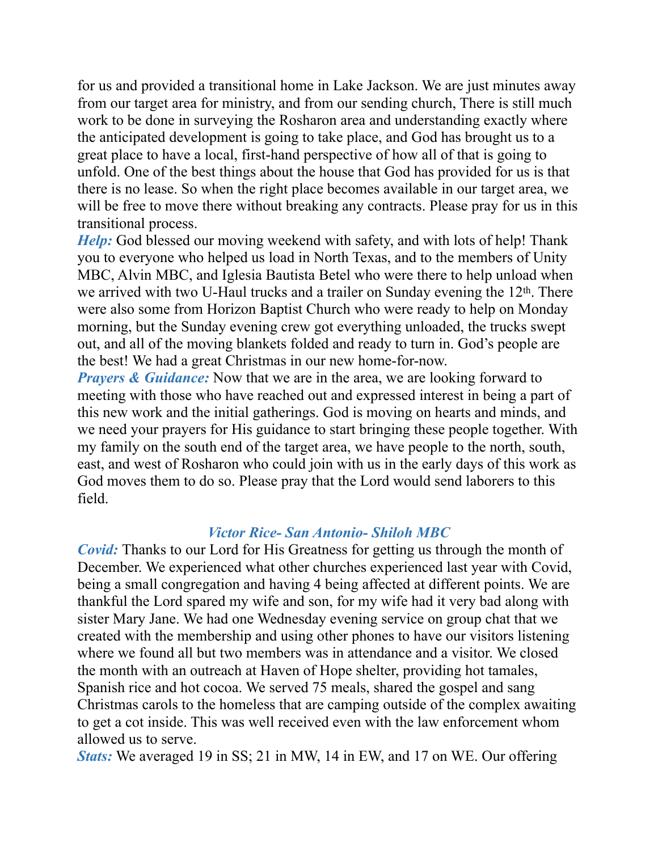for us and provided a transitional home in Lake Jackson. We are just minutes away from our target area for ministry, and from our sending church, There is still much work to be done in surveying the Rosharon area and understanding exactly where the anticipated development is going to take place, and God has brought us to a great place to have a local, first-hand perspective of how all of that is going to unfold. One of the best things about the house that God has provided for us is that there is no lease. So when the right place becomes available in our target area, we will be free to move there without breaking any contracts. Please pray for us in this transitional process.

*Help:* God blessed our moving weekend with safety, and with lots of help! Thank you to everyone who helped us load in North Texas, and to the members of Unity MBC, Alvin MBC, and Iglesia Bautista Betel who were there to help unload when we arrived with two U-Haul trucks and a trailer on Sunday evening the 12<sup>th</sup>. There were also some from Horizon Baptist Church who were ready to help on Monday morning, but the Sunday evening crew got everything unloaded, the trucks swept out, and all of the moving blankets folded and ready to turn in. God's people are the best! We had a great Christmas in our new home-for-now.

*Prayers & Guidance:* Now that we are in the area, we are looking forward to meeting with those who have reached out and expressed interest in being a part of this new work and the initial gatherings. God is moving on hearts and minds, and we need your prayers for His guidance to start bringing these people together. With my family on the south end of the target area, we have people to the north, south, east, and west of Rosharon who could join with us in the early days of this work as God moves them to do so. Please pray that the Lord would send laborers to this field.

#### *Victor Rice- San Antonio- Shiloh MBC*

*Covid:* Thanks to our Lord for His Greatness for getting us through the month of December. We experienced what other churches experienced last year with Covid, being a small congregation and having 4 being affected at different points. We are thankful the Lord spared my wife and son, for my wife had it very bad along with sister Mary Jane. We had one Wednesday evening service on group chat that we created with the membership and using other phones to have our visitors listening where we found all but two members was in attendance and a visitor. We closed the month with an outreach at Haven of Hope shelter, providing hot tamales, Spanish rice and hot cocoa. We served 75 meals, shared the gospel and sang Christmas carols to the homeless that are camping outside of the complex awaiting to get a cot inside. This was well received even with the law enforcement whom allowed us to serve.

*Stats:* We averaged 19 in SS; 21 in MW, 14 in EW, and 17 on WE. Our offering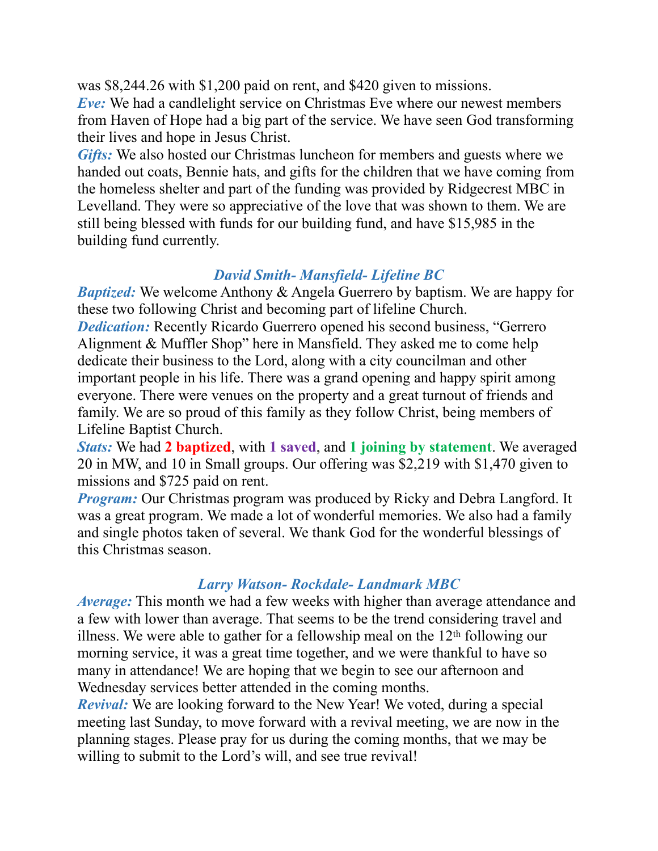was \$8,244.26 with \$1,200 paid on rent, and \$420 given to missions. *Eve:* We had a candlelight service on Christmas Eve where our newest members from Haven of Hope had a big part of the service. We have seen God transforming their lives and hope in Jesus Christ.

*Gifts:* We also hosted our Christmas luncheon for members and guests where we handed out coats, Bennie hats, and gifts for the children that we have coming from the homeless shelter and part of the funding was provided by Ridgecrest MBC in Levelland. They were so appreciative of the love that was shown to them. We are still being blessed with funds for our building fund, and have \$15,985 in the building fund currently.

## *David Smith- Mansfield- Lifeline BC*

*Baptized:* We welcome Anthony & Angela Guerrero by baptism. We are happy for these two following Christ and becoming part of lifeline Church.

*Dedication:* Recently Ricardo Guerrero opened his second business, "Gerrero Alignment & Muffler Shop" here in Mansfield. They asked me to come help dedicate their business to the Lord, along with a city councilman and other important people in his life. There was a grand opening and happy spirit among everyone. There were venues on the property and a great turnout of friends and family. We are so proud of this family as they follow Christ, being members of Lifeline Baptist Church.

*Stats:* We had **2 baptized**, with **1 saved**, and **1 joining by statement**. We averaged 20 in MW, and 10 in Small groups. Our offering was \$2,219 with \$1,470 given to missions and \$725 paid on rent.

*Program:* Our Christmas program was produced by Ricky and Debra Langford. It was a great program. We made a lot of wonderful memories. We also had a family and single photos taken of several. We thank God for the wonderful blessings of this Christmas season.

# *Larry Watson- Rockdale- Landmark MBC*

*Average:* This month we had a few weeks with higher than average attendance and a few with lower than average. That seems to be the trend considering travel and illness. We were able to gather for a fellowship meal on the  $12<sup>th</sup>$  following our morning service, it was a great time together, and we were thankful to have so many in attendance! We are hoping that we begin to see our afternoon and Wednesday services better attended in the coming months.

*Revival:* We are looking forward to the New Year! We voted, during a special meeting last Sunday, to move forward with a revival meeting, we are now in the planning stages. Please pray for us during the coming months, that we may be willing to submit to the Lord's will, and see true revival!